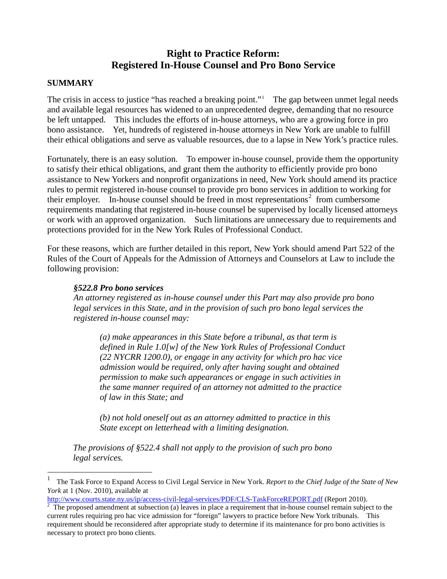# **Right to Practice Reform: Registered In-House Counsel and Pro Bono Service**

### **SUMMARY**

 $\overline{a}$ 

The crisis in access to justice "has reached a breaking point." The gap between unmet legal needs and available legal resources has widened to an unprecedented degree, demanding that no resource be left untapped. This includes the efforts of in-house attorneys, who are a growing force in pro bono assistance. Yet, hundreds of registered in-house attorneys in New York are unable to fulfill their ethical obligations and serve as valuable resources, due to a lapse in New York's practice rules.

Fortunately, there is an easy solution. To empower in-house counsel, provide them the opportunity to satisfy their ethical obligations, and grant them the authority to efficiently provide pro bono assistance to New Yorkers and nonprofit organizations in need, New York should amend its practice rules to permit registered in-house counsel to provide pro bono services in addition to working for their employer. In-house counsel should be freed in most representations<sup>[2](#page-0-0)</sup> from cumbersome requirements mandating that registered in-house counsel be supervised by locally licensed attorneys or work with an approved organization. Such limitations are unnecessary due to requirements and protections provided for in the New York Rules of Professional Conduct.

For these reasons, which are further detailed in this report, New York should amend Part 522 of the Rules of the Court of Appeals for the Admission of Attorneys and Counselors at Law to include the following provision:

#### *§522.8 Pro bono services*

*An attorney registered as in-house counsel under this Part may also provide pro bono legal services in this State, and in the provision of such pro bono legal services the registered in-house counsel may:* 

*(a) make appearances in this State before a tribunal, as that term is defined in Rule 1.0[w] of the New York Rules of Professional Conduct (22 NYCRR 1200.0), or engage in any activity for which pro hac vice admission would be required, only after having sought and obtained permission to make such appearances or engage in such activities in the same manner required of an attorney not admitted to the practice of law in this State; and* 

*(b) not hold oneself out as an attorney admitted to practice in this State except on letterhead with a limiting designation.* 

<span id="page-0-1"></span>*The provisions of §522.4 shall not apply to the provision of such pro bono legal services.*

<sup>1</sup> The Task Force to Expand Access to Civil Legal Service in New York. *Report to the Chief Judge of the State of New York* at 1 (Nov. 2010), available at <br>http://www.courts.state.ny.us/ip/access-civil-legal-services/PDF/CLS-TaskForceREPORT.pdf (Report 2010).

<span id="page-0-0"></span>The proposed amendment at subsection (a) leaves in place a requirement that in-house counsel remain subject to the current rules requiring pro hac vice admission for "foreign" lawyers to practice before New York tribunals. This requirement should be reconsidered after appropriate study to determine if its maintenance for pro bono activities is necessary to protect pro bono clients.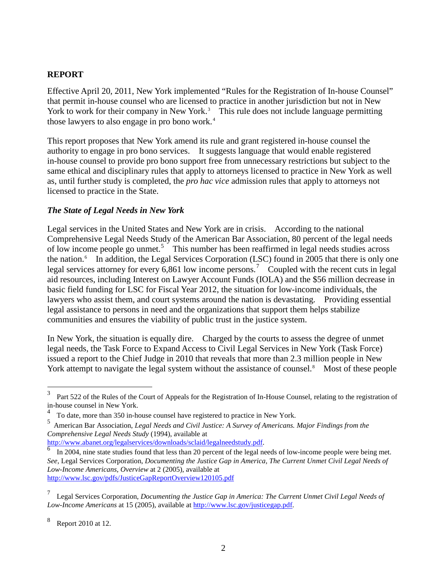### **REPORT**

Effective April 20, 2011, New York implemented "Rules for the Registration of In-house Counsel" that permit in-house counsel who are licensed to practice in another jurisdiction but not in New York to work for their company in New York.<sup>[3](#page-0-1)</sup> This rule does not include language permitting those lawyers to also engage in pro bono work.<sup>[4](#page-1-1)</sup>

This report proposes that New York amend its rule and grant registered in-house counsel the authority to engage in pro bono services. It suggests language that would enable registered in-house counsel to provide pro bono support free from unnecessary restrictions but subject to the same ethical and disciplinary rules that apply to attorneys licensed to practice in New York as well as, until further study is completed, the *pro hac vice* admission rules that apply to attorneys not licensed to practice in the State.

#### *The State of Legal Needs in New York*

Legal services in the United States and New York are in crisis. According to the national Comprehensive Legal Needs Study of the American Bar Association, 80 percent of the legal needs of low income people go unmet.<sup>[5](#page-1-2)</sup> This number has been reaffirmed in legal needs studies across the nation.<sup>[6](#page-1-3)</sup> In addition, the Legal Services Corporation (LSC) found in 2005 that there is only one legal services attorney for every  $6,861$  low income persons.<sup>[7](#page-1-4)</sup> Coupled with the recent cuts in legal aid resources, including Interest on Lawyer Account Funds (IOLA) and the \$56 million decrease in basic field funding for LSC for Fiscal Year 2012, the situation for low-income individuals, the lawyers who assist them, and court systems around the nation is devastating. Providing essential legal assistance to persons in need and the organizations that support them helps stabilize communities and ensures the viability of public trust in the justice system.

In New York, the situation is equally dire. Charged by the courts to assess the degree of unmet legal needs, the Task Force to Expand Access to Civil Legal Services in New York (Task Force) issued a report to the Chief Judge in 2010 that reveals that more than 2.3 million people in New York attempt to navigate the legal system without the assistance of counsel.<sup>[8](#page-1-5)</sup> Most of these people

<span id="page-1-6"></span><sup>3</sup> <sup>3</sup> Part 522 of the Rules of the Court of Appeals for the Registration of In-House Counsel, relating to the registration of in-house counsel in New York.

<sup>4</sup> To date, more than 350 in-house counsel have registered to practice in New York.

<span id="page-1-2"></span><span id="page-1-1"></span><sup>5</sup> American Bar Association, *Legal Needs and Civil Justice: A Survey of Americans. Major Findings from the Comprehensive Legal Needs Study* (1994), available at

<span id="page-1-3"></span> $\overline{6}$  $\overline{6}$  $\overline{6}$  In 2004, nine state studies found that less than 20 percent of the legal needs of low-income people were being met. *See,* Legal Services Corporation, *Documenting the Justice Gap in America, The Current Unmet Civil Legal Needs of Low-Income Americans, Overview* at 2 (2005), available at <http://www.lsc.gov/pdfs/JusticeGapReportOverview120105.pdf>

<span id="page-1-4"></span><span id="page-1-0"></span><sup>7</sup> Legal Services Corporation, *Documenting the Justice Gap in America: The Current Unmet Civil Legal Needs of Low-Income Americans* at 15 (2005), available a[t http://www.lsc.gov/justicegap.pdf.](http://www.lsc.gov/justicegap.pdf)

<span id="page-1-5"></span><sup>8</sup> Report 2010 at 12.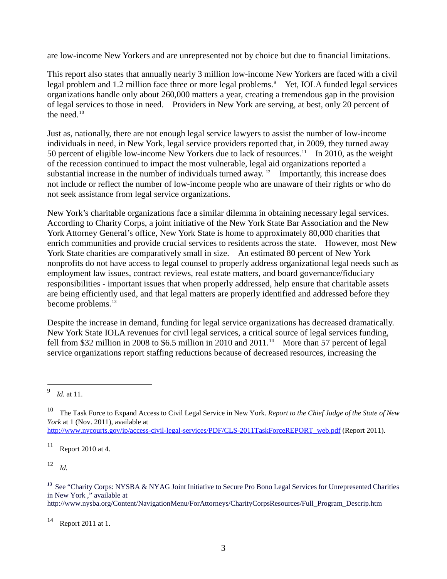are low-income New Yorkers and are unrepresented not by choice but due to financial limitations.

This report also states that annually nearly 3 million low-income New Yorkers are faced with a civil legal problem and 1.2 million face three or more legal problems.<sup>[9](#page-1-6)</sup> Yet, IOLA funded legal services organizations handle only about 260,000 matters a year, creating a tremendous gap in the provision of legal services to those in need. Providers in New York are serving, at best, only 20 percent of the need. $10$ 

Just as, nationally, there are not enough legal service lawyers to assist the number of low-income individuals in need, in New York, legal service providers reported that, in 2009, they turned away 50 percent of eligible low-income New Yorkers due to lack of resources.<sup>[11](#page-2-1)</sup> In 2010, as the weight of the recession continued to impact the most vulnerable, legal aid organizations reported a substantial increase in the number of individuals turned away. <sup>12</sup> Importantly, this increase does not include or reflect the number of low-income people who are unaware of their rights or who do not seek assistance from legal service organizations.

New York's charitable organizations face a similar dilemma in obtaining necessary legal services. According to Charity Corps, a joint initiative of the New York State Bar Association and the New York Attorney General's office, New York State is home to approximately 80,000 charities that enrich communities and provide crucial services to residents across the state. However, most New York State charities are comparatively small in size. An estimated 80 percent of New York nonprofits do not have access to legal counsel to properly address organizational legal needs such as employment law issues, contract reviews, real estate matters, and board governance/fiduciary responsibilities - important issues that when properly addressed, help ensure that charitable assets are being efficiently used, and that legal matters are properly identified and addressed before they become problems. [13](#page-2-3)

Despite the increase in demand, funding for legal service organizations has decreased dramatically. New York State IOLA revenues for civil legal services, a critical source of legal services funding, fell from \$32 million in 2008 to \$6.5 million in 2010 and  $2011$ .<sup>[14](#page-2-4)</sup> More than 57 percent of legal service organizations report staffing reductions because of decreased resources, increasing the

<span id="page-2-5"></span>[http://www.nycourts.gov/ip/access-civil-legal-services/PDF/CLS-2011TaskForceREPORT\\_web.pdf](http://www.nycourts.gov/ip/access-civil-legal-services/PDF/CLS-2011TaskForceREPORT_web.pdf) (Report 2011).

<span id="page-2-1"></span> $11$  Report 2010 at 4.

<span id="page-2-2"></span><sup>12</sup> *Id.*

http://www.nysba.org/Content/NavigationMenu/ForAttorneys/CharityCorpsResources/Full\_Program\_Descrip.htm

<span id="page-2-4"></span>Report 2011 at 1.

 <sup>9</sup> *Id.* at 11.

<span id="page-2-0"></span><sup>10</sup> The Task Force to Expand Access to Civil Legal Service in New York. *Report to the Chief Judge of the State of New York* at 1 (Nov. 2011), available at

<span id="page-2-3"></span><sup>&</sup>lt;sup>13</sup> See "Charity Corps: NYSBA & NYAG Joint Initiative to Secure Pro Bono Legal Services for Unrepresented Charities in New York ," available at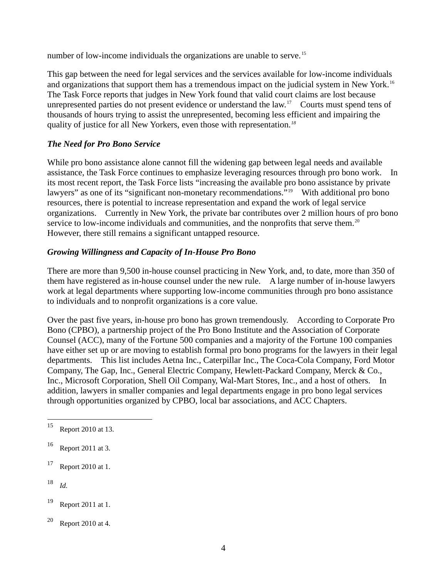number of low-income individuals the organizations are unable to serve.<sup>15</sup>

This gap between the need for legal services and the services available for low-income individuals and organizations that support them has a tremendous impact on the judicial system in New York.<sup>[16](#page-3-0)</sup> The Task Force reports that judges in New York found that valid court claims are lost because unrepresented parties do not present evidence or understand the law.<sup>[17](#page-3-1)</sup> Courts must spend tens of thousands of hours trying to assist the unrepresented, becoming less efficient and impairing the quality of justice for all New Yorkers, even those with representation.*[18](#page-3-2)*

# *The Need for Pro Bono Service*

While pro bono assistance alone cannot fill the widening gap between legal needs and available assistance, the Task Force continues to emphasize leveraging resources through pro bono work. In its most recent report, the Task Force lists "increasing the available pro bono assistance by private lawyers" as one of its "significant non-monetary recommendations."<sup>[19](#page-3-3)</sup> With additional pro bono resources, there is potential to increase representation and expand the work of legal service organizations. Currently in New York, the private bar contributes over 2 million hours of pro bono service to low-income individuals and communities, and the nonprofits that serve them.<sup>20</sup> However, there still remains a significant untapped resource.

# *Growing Willingness and Capacity of In-House Pro Bono*

There are more than 9,500 in-house counsel practicing in New York, and, to date, more than 350 of them have registered as in-house counsel under the new rule. A large number of in-house lawyers work at legal departments where supporting low-income communities through pro bono assistance to individuals and to nonprofit organizations is a core value.

Over the past five years, in-house pro bono has grown tremendously. According to Corporate Pro Bono (CPBO), a partnership project of the Pro Bono Institute and the Association of Corporate Counsel (ACC), many of the Fortune 500 companies and a majority of the Fortune 100 companies have either set up or are moving to establish formal pro bono programs for the lawyers in their legal departments. This list includes Aetna Inc., Caterpillar Inc., The Coca-Cola Company, Ford Motor Company, The Gap, Inc., General Electric Company, Hewlett-Packard Company, Merck & Co., Inc., Microsoft Corporation, Shell Oil Company, Wal-Mart Stores, Inc., and a host of others. In addition, lawyers in smaller companies and legal departments engage in pro bono legal services through opportunities organized by CPBO, local bar associations, and ACC Chapters.

<span id="page-3-2"></span> $18$  *Id.* 

 <sup>15</sup> Report 2010 at 13.

<span id="page-3-0"></span><sup>16</sup> Report 2011 at 3.

<span id="page-3-1"></span><sup>17</sup> Report 2010 at 1.

<span id="page-3-5"></span><span id="page-3-3"></span><sup>19</sup> Report 2011 at 1.

<span id="page-3-4"></span> $20$  Report 2010 at 4.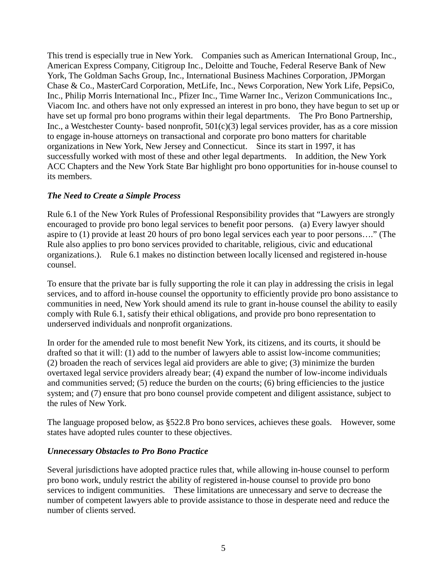This trend is especially true in New York. Companies such as American International Group, Inc., American Express Company, Citigroup Inc., Deloitte and Touche, Federal Reserve Bank of New York, The Goldman Sachs Group, Inc., International Business Machines Corporation, JPMorgan Chase & Co., MasterCard Corporation, MetLife, Inc., News Corporation, New York Life, PepsiCo, Inc., Philip Morris International Inc., Pfizer Inc., Time Warner Inc., Verizon Communications Inc., Viacom Inc. and others have not only expressed an interest in pro bono, they have begun to set up or have set up formal pro bono programs within their legal departments. The Pro Bono Partnership, Inc., a Westchester County- based nonprofit, 501(c)(3) legal services provider, has as a core mission to engage in-house attorneys on transactional and corporate pro bono matters for charitable organizations in New York, New Jersey and Connecticut. Since its start in 1997, it has successfully worked with most of these and other legal departments. In addition, the New York ACC Chapters and the New York State Bar highlight pro bono opportunities for in-house counsel to its members.

### *The Need to Create a Simple Process*

Rule 6.1 of the New York Rules of Professional Responsibility provides that "Lawyers are strongly encouraged to provide pro bono legal services to benefit poor persons. (a) Every lawyer should aspire to (1) provide at least 20 hours of pro bono legal services each year to poor persons…." (The Rule also applies to pro bono services provided to charitable, religious, civic and educational organizations.). Rule 6.1 makes no distinction between locally licensed and registered in-house counsel.

To ensure that the private bar is fully supporting the role it can play in addressing the crisis in legal services, and to afford in-house counsel the opportunity to efficiently provide pro bono assistance to communities in need, New York should amend its rule to grant in-house counsel the ability to easily comply with Rule 6.1, satisfy their ethical obligations, and provide pro bono representation to underserved individuals and nonprofit organizations.

In order for the amended rule to most benefit New York, its citizens, and its courts, it should be drafted so that it will: (1) add to the number of lawyers able to assist low-income communities; (2) broaden the reach of services legal aid providers are able to give; (3) minimize the burden overtaxed legal service providers already bear; (4) expand the number of low-income individuals and communities served; (5) reduce the burden on the courts; (6) bring efficiencies to the justice system; and (7) ensure that pro bono counsel provide competent and diligent assistance, subject to the rules of New York.

The language proposed below, as §522.8 Pro bono services, achieves these goals. However, some states have adopted rules counter to these objectives.

#### *Unnecessary Obstacles to Pro Bono Practice*

Several jurisdictions have adopted practice rules that, while allowing in-house counsel to perform pro bono work, unduly restrict the ability of registered in-house counsel to provide pro bono services to indigent communities. These limitations are unnecessary and serve to decrease the number of competent lawyers able to provide assistance to those in desperate need and reduce the number of clients served.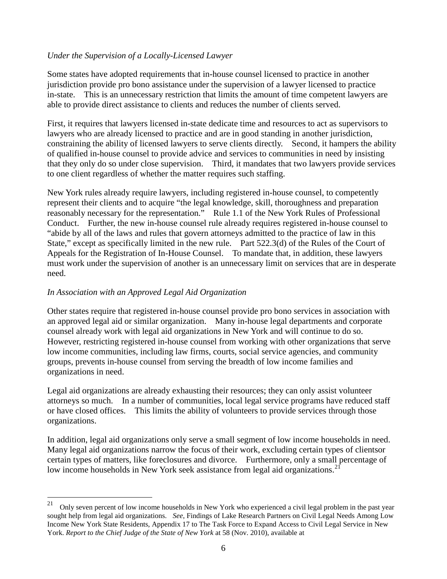# *Under the Supervision of a Locally-Licensed Lawyer*

Some states have adopted requirements that in-house counsel licensed to practice in another jurisdiction provide pro bono assistance under the supervision of a lawyer licensed to practice in-state. This is an unnecessary restriction that limits the amount of time competent lawyers are able to provide direct assistance to clients and reduces the number of clients served.

First, it requires that lawyers licensed in-state dedicate time and resources to act as supervisors to lawyers who are already licensed to practice and are in good standing in another jurisdiction, constraining the ability of licensed lawyers to serve clients directly. Second, it hampers the ability of qualified in-house counsel to provide advice and services to communities in need by insisting that they only do so under close supervision. Third, it mandates that two lawyers provide services to one client regardless of whether the matter requires such staffing.

New York rules already require lawyers, including registered in-house counsel, to competently represent their clients and to acquire "the legal knowledge, skill, thoroughness and preparation reasonably necessary for the representation." Rule 1.1 of the New York Rules of Professional Conduct. Further, the new in-house counsel rule already requires registered in-house counsel to "abide by all of the laws and rules that govern attorneys admitted to the practice of law in this State," except as specifically limited in the new rule. Part 522.3(d) of the Rules of the Court of Appeals for the Registration of In-House Counsel. To mandate that, in addition, these lawyers must work under the supervision of another is an unnecessary limit on services that are in desperate need.

### *In Association with an Approved Legal Aid Organization*

Other states require that registered in-house counsel provide pro bono services in association with an approved legal aid or similar organization. Many in-house legal departments and corporate counsel already work with legal aid organizations in New York and will continue to do so. However, restricting registered in-house counsel from working with other organizations that serve low income communities, including law firms, courts, social service agencies, and community groups, prevents in-house counsel from serving the breadth of low income families and organizations in need.

Legal aid organizations are already exhausting their resources; they can only assist volunteer attorneys so much. In a number of communities, local legal service programs have reduced staff or have closed offices. This limits the ability of volunteers to provide services through those organizations.

In addition, legal aid organizations only serve a small segment of low income households in need. Many legal aid organizations narrow the focus of their work, excluding certain types of clientsor certain types of matters, like foreclosures and divorce. Furthermore, only a small percentage of low income households in New York seek assistance from legal aid organizations.<sup>21</sup>

<sup>&</sup>lt;sup>21</sup> Only seven percent of low income households in New York who experienced a civil legal problem in the past year sought help from legal aid organizations. *See*, Findings of Lake Research Partners on Civil Legal Needs Among Low Income New York State Residents, Appendix 17 to The Task Force to Expand Access to Civil Legal Service in New York. *Report to the Chief Judge of the State of New York* at 58 (Nov. 2010), available at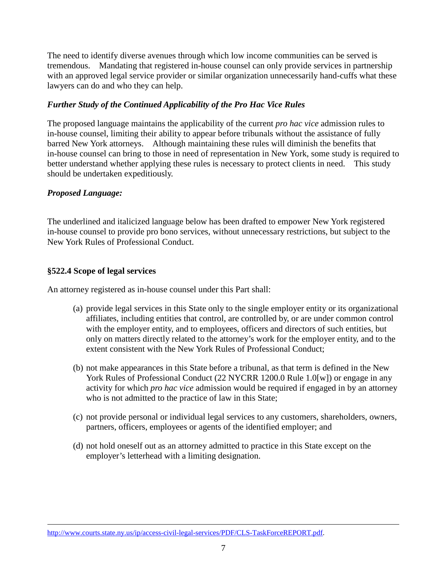The need to identify diverse avenues through which low income communities can be served is tremendous. Mandating that registered in-house counsel can only provide services in partnership with an approved legal service provider or similar organization unnecessarily hand-cuffs what these lawyers can do and who they can help.

# *Further Study of the Continued Applicability of the Pro Hac Vice Rules*

The proposed language maintains the applicability of the current *pro hac vice* admission rules to in-house counsel, limiting their ability to appear before tribunals without the assistance of fully barred New York attorneys. Although maintaining these rules will diminish the benefits that in-house counsel can bring to those in need of representation in New York, some study is required to better understand whether applying these rules is necessary to protect clients in need. This study should be undertaken expeditiously.

# *Proposed Language:*

-

The underlined and italicized language below has been drafted to empower New York registered in-house counsel to provide pro bono services, without unnecessary restrictions, but subject to the New York Rules of Professional Conduct.

# **§522.4 Scope of legal services**

An attorney registered as in-house counsel under this Part shall:

- (a) provide legal services in this State only to the single employer entity or its organizational affiliates, including entities that control, are controlled by, or are under common control with the employer entity, and to employees, officers and directors of such entities, but only on matters directly related to the attorney's work for the employer entity, and to the extent consistent with the New York Rules of Professional Conduct;
- (b) not make appearances in this State before a tribunal, as that term is defined in the New York Rules of Professional Conduct (22 NYCRR 1200.0 Rule 1.0[w]) or engage in any activity for which *pro hac vice* admission would be required if engaged in by an attorney who is not admitted to the practice of law in this State;
- (c) not provide personal or individual legal services to any customers, shareholders, owners, partners, officers, employees or agents of the identified employer; and
- (d) not hold oneself out as an attorney admitted to practice in this State except on the employer's letterhead with a limiting designation.

[http://www.courts.state.ny.us/ip/access-civil-legal-services/PDF/CLS-TaskForceREPORT.pdf.](http://www.courts.state.ny.us/ip/access-civil-legal-services/PDF/CLS-TaskForceREPORT.pdf)